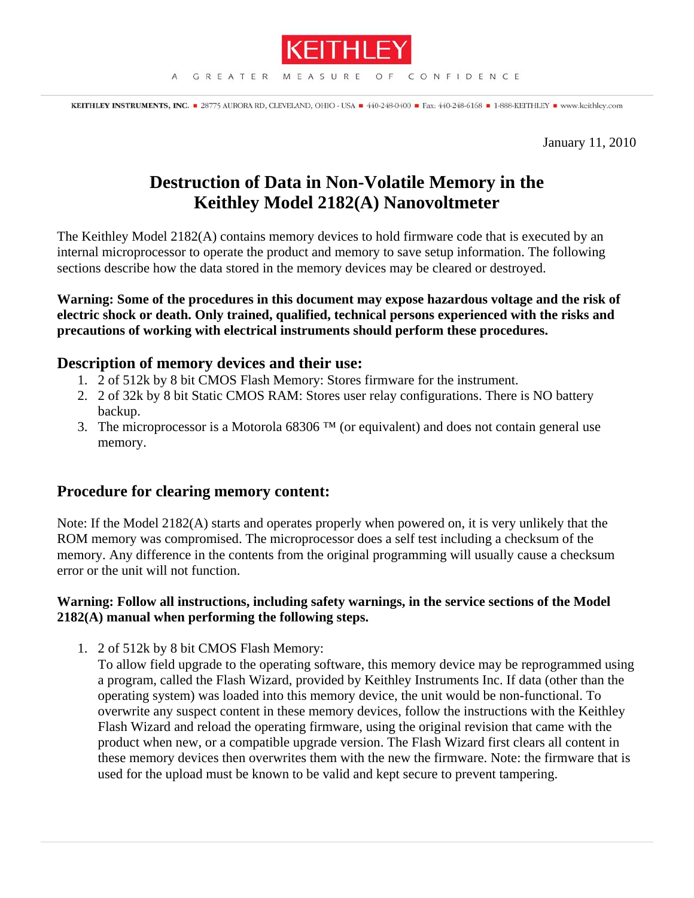

KEITHLEY INSTRUMENTS, INC. 28775 AURORA RD, CLEVELAND, OHIO - USA = 440-248-0400 = Fax: 440-248-6168 = 1-888-KEITHLEY = www.keithley.com

January 11, 2010

## **Destruction of Data in Non-Volatile Memory in the Keithley Model 2182(A) Nanovoltmeter**

The Keithley Model 2182(A) contains memory devices to hold firmware code that is executed by an internal microprocessor to operate the product and memory to save setup information. The following sections describe how the data stored in the memory devices may be cleared or destroyed.

**Warning: Some of the procedures in this document may expose hazardous voltage and the risk of electric shock or death. Only trained, qualified, technical persons experienced with the risks and precautions of working with electrical instruments should perform these procedures.** 

## **Description of memory devices and their use:**

- 1. 2 of 512k by 8 bit CMOS Flash Memory: Stores firmware for the instrument.
- 2. 2 of 32k by 8 bit Static CMOS RAM: Stores user relay configurations. There is NO battery backup.
- 3. The microprocessor is a Motorola 68306<sup> $TM$ </sup> (or equivalent) and does not contain general use memory.

## **Procedure for clearing memory content:**

Note: If the Model 2182(A) starts and operates properly when powered on, it is very unlikely that the ROM memory was compromised. The microprocessor does a self test including a checksum of the memory. Any difference in the contents from the original programming will usually cause a checksum error or the unit will not function.

## **Warning: Follow all instructions, including safety warnings, in the service sections of the Model 2182(A) manual when performing the following steps.**

1. 2 of 512k by 8 bit CMOS Flash Memory:

To allow field upgrade to the operating software, this memory device may be reprogrammed using a program, called the Flash Wizard, provided by Keithley Instruments Inc. If data (other than the operating system) was loaded into this memory device, the unit would be non-functional. To overwrite any suspect content in these memory devices, follow the instructions with the Keithley Flash Wizard and reload the operating firmware, using the original revision that came with the product when new, or a compatible upgrade version. The Flash Wizard first clears all content in these memory devices then overwrites them with the new the firmware. Note: the firmware that is used for the upload must be known to be valid and kept secure to prevent tampering.